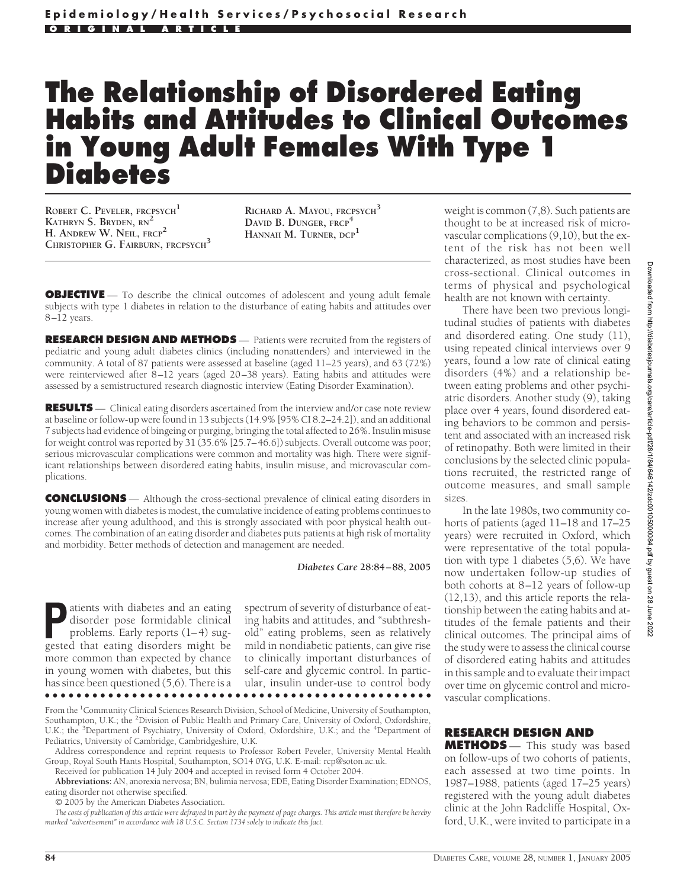# **The Relationship of Disordered Eating Habits and Attitudes to Clinical Outcomes in Young Adult Females With Type 1 Diabetes**

**ROBERT C. PEVELER, FRCPSYCH<sup>1</sup> KATHRYN S. BRYDEN, RN<sup>2</sup> H. ANDREW W. NEIL, FRCP<sup>2</sup> CHRISTOPHER G. FAIRBURN, FRCPSYCH<sup>3</sup>** **RICHARD A. MAYOU, FRCPSYCH<sup>3</sup> DAVID B. DUNGER, FRCP<sup>4</sup> HANNAH M. TURNER, DCP<sup>1</sup>**

**OBJECTIVE** — To describe the clinical outcomes of adolescent and young adult female subjects with type 1 diabetes in relation to the disturbance of eating habits and attitudes over 8–12 years.

**RESEARCH DESIGN AND METHODS** — Patients were recruited from the registers of pediatric and young adult diabetes clinics (including nonattenders) and interviewed in the community. A total of 87 patients were assessed at baseline (aged 11–25 years), and 63 (72%) were reinterviewed after 8–12 years (aged 20–38 years). Eating habits and attitudes were assessed by a semistructured research diagnostic interview (Eating Disorder Examination).

**RESULTS** — Clinical eating disorders ascertained from the interview and/or case note review at baseline or follow-up were found in 13 subjects (14.9% [95% CI 8.2–24.2]), and an additional 7 subjects had evidence of bingeing or purging, bringing the total affected to 26%. Insulin misuse for weight control was reported by 31 (35.6% [25.7–46.6]) subjects. Overall outcome was poor; serious microvascular complications were common and mortality was high. There were significant relationships between disordered eating habits, insulin misuse, and microvascular complications.

**CONCLUSIONS** — Although the cross-sectional prevalence of clinical eating disorders in young women with diabetes is modest, the cumulative incidence of eating problems continues to increase after young adulthood, and this is strongly associated with poor physical health outcomes. The combination of an eating disorder and diabetes puts patients at high risk of mortality and morbidity. Better methods of detection and management are needed.

*Diabetes Care* **28:84 – 88, 2005**

**Patients with diabetes and an eating<br>disorder pose formidable clinical<br>problems. Early reports (1–4) sug-<br>gested that eating disorders might be** disorder pose formidable clinical problems. Early reports (1–4) suggested that eating disorders might be more common than expected by chance in young women with diabetes, but this has since been questioned (5,6). There is a ●●●●●●●●●●●●●●●●●●●●●●●●●●●●●●●●●●●●●●●●●●●●●●●●●

spectrum of severity of disturbance of eating habits and attitudes, and "subthreshold" eating problems, seen as relatively mild in nondiabetic patients, can give rise to clinically important disturbances of self-care and glycemic control. In particular, insulin under-use to control body

From the <sup>1</sup>Community Clinical Sciences Research Division, School of Medicine, University of Southampton, Southampton, U.K.; the <sup>2</sup>Division of Public Health and Primary Care, University of Oxford, Oxfordshire, U.K.; the <sup>3</sup>Department of Psychiatry, University of Oxford, Oxfordshire, U.K.; and the <sup>4</sup>Department of Pediatrics, University of Cambridge, Cambridgeshire, U.K.

Address correspondence and reprint requests to Professor Robert Peveler, University Mental Health Group, Royal South Hants Hospital, Southampton, SO14 0YG, U.K. E-mail: rcp@soton.ac.uk.

Received for publication 14 July 2004 and accepted in revised form 4 October 2004.

**Abbreviations:** AN, anorexia nervosa; BN, bulimia nervosa; EDE, Eating Disorder Examination; EDNOS, eating disorder not otherwise specified.

© 2005 by the American Diabetes Association.

*The costs of publication of this article were defrayed in part by the payment of page charges. This article must therefore be hereby marked "advertisement" in accordance with 18 U.S.C. Section 1734 solely to indicate this fact.*

weight is common (7,8). Such patients are thought to be at increased risk of microvascular complications (9,10), but the extent of the risk has not been well characterized, as most studies have been cross-sectional. Clinical outcomes in terms of physical and psychological health are not known with certainty.

There have been two previous longitudinal studies of patients with diabetes and disordered eating. One study (11), using repeated clinical interviews over 9 years, found a low rate of clinical eating disorders (4%) and a relationship between eating problems and other psychiatric disorders. Another study (9), taking place over 4 years, found disordered eating behaviors to be common and persistent and associated with an increased risk of retinopathy. Both were limited in their conclusions by the selected clinic populations recruited, the restricted range of outcome measures, and small sample sizes.

In the late 1980s, two community cohorts of patients (aged 11–18 and 17–25 years) were recruited in Oxford, which were representative of the total population with type 1 diabetes (5,6). We have now undertaken follow-up studies of both cohorts at 8–12 years of follow-up (12,13), and this article reports the relationship between the eating habits and attitudes of the female patients and their clinical outcomes. The principal aims of the study were to assess the clinical course of disordered eating habits and attitudes in this sample and to evaluate their impact over time on glycemic control and microvascular complications.

# **RESEARCH DESIGN AND**

**METHODS** — This study was based on follow-ups of two cohorts of patients, each assessed at two time points. In 1987–1988, patients (aged 17–25 years) registered with the young adult diabetes clinic at the John Radcliffe Hospital, Oxford, U.K., were invited to participate in a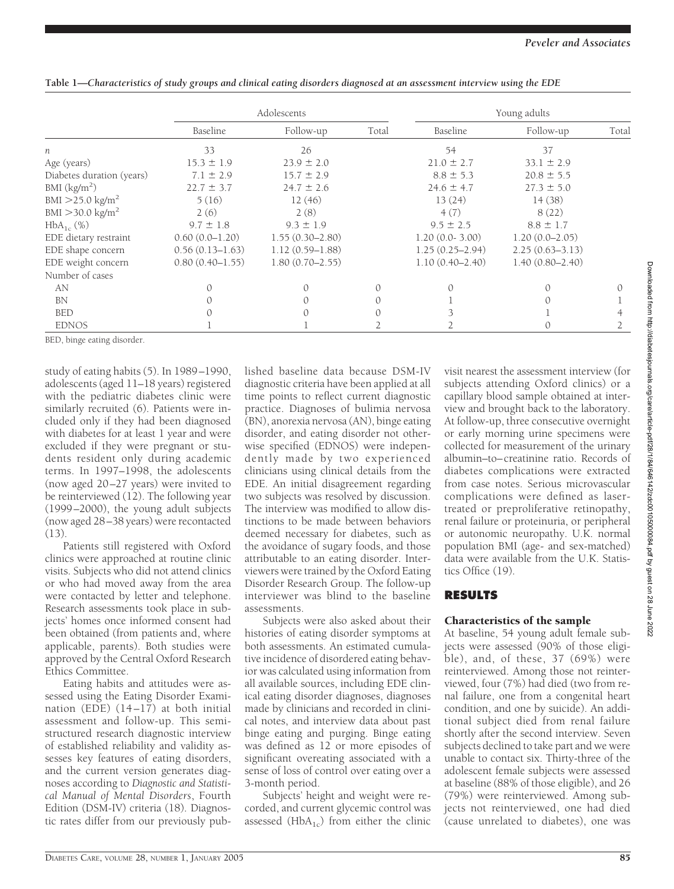|                                | Adolescents         |                     |       | Young adults        |                     |       |
|--------------------------------|---------------------|---------------------|-------|---------------------|---------------------|-------|
|                                | Baseline            | Follow-up           | Total | Baseline            | Follow-up           | Total |
| $\boldsymbol{n}$               | 33                  | 26                  |       | 54                  | 37                  |       |
| Age (years)                    | $15.3 \pm 1.9$      | $23.9 \pm 2.0$      |       | $21.0 \pm 2.7$      | $33.1 \pm 2.9$      |       |
| Diabetes duration (years)      | $7.1 \pm 2.9$       | $15.7 \pm 2.9$      |       | $8.8 \pm 5.3$       | $20.8 \pm 5.5$      |       |
| BMI (kg/m <sup>2</sup> )       | $22.7 \pm 3.7$      | $24.7 \pm 2.6$      |       | $24.6 \pm 4.7$      | $27.3 \pm 5.0$      |       |
| $BMI > 25.0$ kg/m <sup>2</sup> | 5(16)               | 12(46)              |       | 13(24)              | 14(38)              |       |
| $BMI > 30.0 \text{ kg/m}^2$    | 2(6)                | 2(8)                |       | 4(7)                | 8(22)               |       |
| $HbA_{1c}$ (%)                 | $9.7 \pm 1.8$       | $9.3 \pm 1.9$       |       | $9.5 \pm 2.5$       | $8.8 \pm 1.7$       |       |
| EDE dietary restraint          | $0.60(0.0 - 1.20)$  | $1.55(0.30 - 2.80)$ |       | $1.20(0.0 - 3.00)$  | $1.20(0.0 - 2.05)$  |       |
| EDE shape concern              | $0.56(0.13 - 1.63)$ | $1.12(0.59 - 1.88)$ |       | $1.25(0.25 - 2.94)$ | $2.25(0.63 - 3.13)$ |       |
| EDE weight concern             | $0.80(0.40 - 1.55)$ | $1.80(0.70 - 2.55)$ |       | $1.10(0.40 - 2.40)$ | $1.40(0.80 - 2.40)$ |       |
| Number of cases                |                     |                     |       |                     |                     |       |
| AN                             |                     | $\Omega$            |       |                     |                     |       |
| <b>BN</b>                      |                     |                     |       |                     |                     |       |
| <b>BED</b>                     |                     |                     |       |                     |                     |       |
| <b>EDNOS</b>                   |                     |                     |       |                     | $\Omega$            |       |

| Table 1—Characteristics of study groups and clinical eating disorders diagnosed at an assessment interview using the EDE |  |  |
|--------------------------------------------------------------------------------------------------------------------------|--|--|
|                                                                                                                          |  |  |

BED, binge eating disorder.

study of eating habits (5). In 1989–1990, adolescents (aged 11–18 years) registered with the pediatric diabetes clinic were similarly recruited (6). Patients were included only if they had been diagnosed with diabetes for at least 1 year and were excluded if they were pregnant or students resident only during academic terms. In 1997–1998, the adolescents (now aged 20–27 years) were invited to be reinterviewed (12). The following year (1999–2000), the young adult subjects (now aged 28–38 years) were recontacted (13).

Patients still registered with Oxford clinics were approached at routine clinic visits. Subjects who did not attend clinics or who had moved away from the area were contacted by letter and telephone. Research assessments took place in subjects' homes once informed consent had been obtained (from patients and, where applicable, parents). Both studies were approved by the Central Oxford Research Ethics Committee.

Eating habits and attitudes were assessed using the Eating Disorder Examination (EDE) (14–17) at both initial assessment and follow-up. This semistructured research diagnostic interview of established reliability and validity assesses key features of eating disorders, and the current version generates diagnoses according to *Diagnostic and Statistical Manual of Mental Disorders*, Fourth Edition (DSM-IV) criteria (18). Diagnostic rates differ from our previously published baseline data because DSM-IV diagnostic criteria have been applied at all time points to reflect current diagnostic practice. Diagnoses of bulimia nervosa (BN), anorexia nervosa (AN), binge eating disorder, and eating disorder not otherwise specified (EDNOS) were independently made by two experienced clinicians using clinical details from the EDE. An initial disagreement regarding two subjects was resolved by discussion. The interview was modified to allow distinctions to be made between behaviors deemed necessary for diabetes, such as the avoidance of sugary foods, and those attributable to an eating disorder. Interviewers were trained by the Oxford Eating Disorder Research Group. The follow-up interviewer was blind to the baseline assessments.

Subjects were also asked about their histories of eating disorder symptoms at both assessments. An estimated cumulative incidence of disordered eating behavior was calculated using information from all available sources, including EDE clinical eating disorder diagnoses, diagnoses made by clinicians and recorded in clinical notes, and interview data about past binge eating and purging. Binge eating was defined as 12 or more episodes of significant overeating associated with a sense of loss of control over eating over a 3-month period.

Subjects' height and weight were recorded, and current glycemic control was assessed ( $HbA_{1c}$ ) from either the clinic visit nearest the assessment interview (for subjects attending Oxford clinics) or a capillary blood sample obtained at interview and brought back to the laboratory. At follow-up, three consecutive overnight or early morning urine specimens were collected for measurement of the urinary albumin–to–creatinine ratio. Records of diabetes complications were extracted from case notes. Serious microvascular complications were defined as lasertreated or preproliferative retinopathy, renal failure or proteinuria, or peripheral or autonomic neuropathy. U.K. normal population BMI (age- and sex-matched) data were available from the U.K. Statistics Office (19).

# **RESULTS**

#### Characteristics of the sample

At baseline, 54 young adult female subjects were assessed (90% of those eligible), and, of these, 37 (69%) were reinterviewed. Among those not reinterviewed, four (7%) had died (two from renal failure, one from a congenital heart condition, and one by suicide). An additional subject died from renal failure shortly after the second interview. Seven subjects declined to take part and we were unable to contact six. Thirty-three of the adolescent female subjects were assessed at baseline (88% of those eligible), and 26 (79%) were reinterviewed. Among subjects not reinterviewed, one had died (cause unrelated to diabetes), one was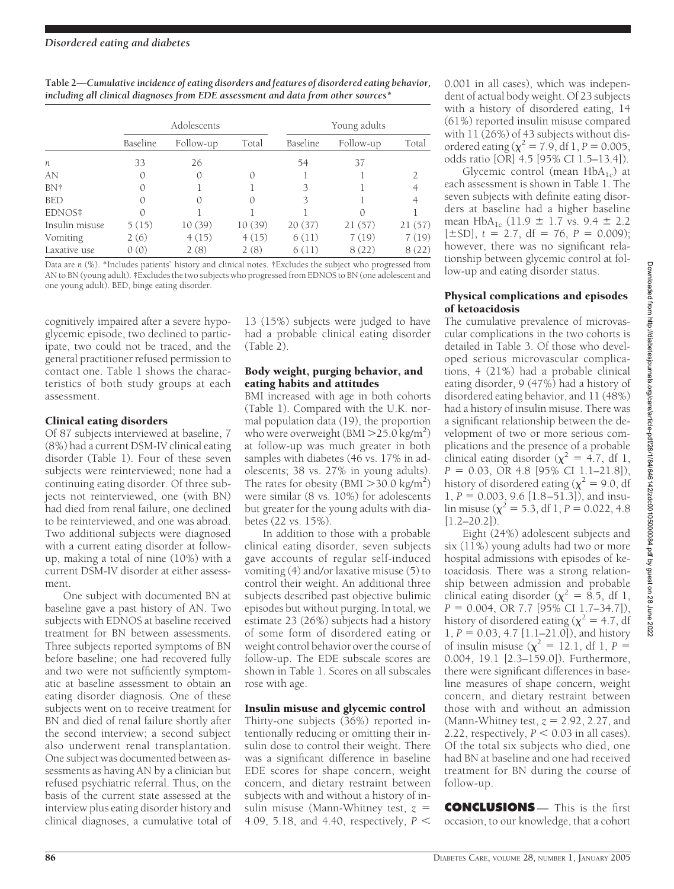| Table 2—Cumulative incidence of eating disorders and features of disordered eating behavior, |
|----------------------------------------------------------------------------------------------|
| including all clinical diagnoses from EDE assessment and data from other sources*            |

|                  | Adolescents |           |        | Young adults |           |        |
|------------------|-------------|-----------|--------|--------------|-----------|--------|
|                  | Baseline    | Follow-up | Total  | Baseline     | Follow-up | Total  |
| $\boldsymbol{n}$ | 33          | 26        |        | 54           | 37        |        |
| AN               | 0           | 0         |        |              |           |        |
| BN†              |             |           |        | 3            |           |        |
| <b>BED</b>       | ∩           | 0         |        | 3            |           |        |
| EDNOS‡           | $\bigcap$   |           |        |              |           |        |
| Insulin misuse   | 5(15)       | 10(39)    | 10(39) | 20(37)       | 21(57)    | 21(57) |
| Vomiting         | 2(6)        | 4(15)     | 4(15)  | 6(11)        | 7(19)     | 7(19)  |
| Laxative use     | 0(0)        | 2(8)      | 2(8)   | 6(11)        | 8(22)     | 8(22)  |

Data are *n* (%). \*Includes patients' history and clinical notes. †Excludes the subject who progressed from AN to BN (young adult). ‡Excludes the two subjects who progressed from EDNOS to BN (one adolescent and one young adult). BED, binge eating disorder.

cognitively impaired after a severe hypoglycemic episode, two declined to participate, two could not be traced, and the general practitioner refused permission to contact one. Table 1 shows the characteristics of both study groups at each assessment.

# Clinical eating disorders

Of 87 subjects interviewed at baseline, 7 (8%) had a current DSM-IV clinical eating disorder (Table 1). Four of these seven subjects were reinterviewed; none had a continuing eating disorder. Of three subjects not reinterviewed, one (with BN) had died from renal failure, one declined to be reinterviewed, and one was abroad. Two additional subjects were diagnosed with a current eating disorder at followup, making a total of nine (10%) with a current DSM-IV disorder at either assessment.

One subject with documented BN at baseline gave a past history of AN. Two subjects with EDNOS at baseline received treatment for BN between assessments. Three subjects reported symptoms of BN before baseline; one had recovered fully and two were not sufficiently symptomatic at baseline assessment to obtain an eating disorder diagnosis. One of these subjects went on to receive treatment for BN and died of renal failure shortly after the second interview; a second subject also underwent renal transplantation. One subject was documented between assessments as having AN by a clinician but refused psychiatric referral. Thus, on the basis of the current state assessed at the interview plus eating disorder history and clinical diagnoses, a cumulative total of

13 (15%) subjects were judged to have had a probable clinical eating disorder (Table 2).

# Body weight, purging behavior, and eating habits and attitudes

BMI increased with age in both cohorts (Table 1). Compared with the U.K. normal population data (19), the proportion who were overweight (BMI  $>$  25.0 kg/m<sup>2</sup>) at follow-up was much greater in both samples with diabetes (46 vs. 17% in adolescents; 38 vs. 27% in young adults). The rates for obesity (BMI  $>$  30.0 kg/m<sup>2</sup>) were similar (8 vs. 10%) for adolescents but greater for the young adults with diabetes (22 vs. 15%).

In addition to those with a probable clinical eating disorder, seven subjects gave accounts of regular self-induced vomiting (4) and/or laxative misuse (5) to control their weight. An additional three subjects described past objective bulimic episodes but without purging. In total, we estimate 23 (26%) subjects had a history of some form of disordered eating or weight control behavior over the course of follow-up. The EDE subscale scores are shown in Table 1. Scores on all subscales rose with age.

# Insulin misuse and glycemic control

Thirty-one subjects (36%) reported intentionally reducing or omitting their insulin dose to control their weight. There was a significant difference in baseline EDE scores for shape concern, weight concern, and dietary restraint between subjects with and without a history of insulin misuse (Mann-Whitney test, *z* 4.09, 5.18, and 4.40, respectively, *P*

0.001 in all cases), which was independent of actual body weight. Of 23 subjects with a history of disordered eating, 14 (61%) reported insulin misuse compared with 11 (26%) of 43 subjects without disordered eating ( $\chi^2$  = 7.9, df 1, *P* = 0.005, odds ratio [OR] 4.5 [95% CI 1.5–13.4]).

Glycemic control (mean  $HbA_{1c}$ ) at each assessment is shown in Table 1. The seven subjects with definite eating disorders at baseline had a higher baseline mean  $HbA_{1c}$  (11.9  $\pm$  1.7 vs. 9.4  $\pm$  2.2  $[\pm SD]$ ,  $t = 2.7$ ,  $df = 76$ ,  $P = 0.009$ ; however, there was no significant relationship between glycemic control at follow-up and eating disorder status.

### Physical complications and episodes of ketoacidosis

The cumulative prevalence of microvascular complications in the two cohorts is detailed in Table 3. Of those who developed serious microvascular complications, 4 (21%) had a probable clinical eating disorder, 9 (47%) had a history of disordered eating behavior, and 11 (48%) had a history of insulin misuse. There was a significant relationship between the development of two or more serious complications and the presence of a probable clinical eating disorder ( $\chi^2$  = 4.7, df 1, *P* = 0.03, OR 4.8 [95% CI 1.1–21.8]), history of disordered eating ( $\chi^2$  = 9.0, df 1,  $P = 0.003$ , 9.6 [1.8–51.3]), and insulin misuse ( $\chi^2$  = 5.3, df 1, *P* = 0.022, 4.8  $[1.2 - 20.2]$ .

Eight (24%) adolescent subjects and six  $(11\%)$  young adults had two or more hospital admissions with episodes of ketoacidosis. There was a strong relationship between admission and probable clinical eating disorder ( $\chi^2$  = 8.5, df 1, *P* = 0.004, OR 7.7 [95% CI 1.7–34.7]), history of disordered eating ( $\chi^2$  = 4.7, df  $1, P = 0.03, 4.7$  [1.1–21.0]), and history of insulin misuse ( $\chi^2$  = 12.1, df 1, *P* = 0.004, 19.1 [2.3–159.0]). Furthermore, there were significant differences in baseline measures of shape concern, weight concern, and dietary restraint between those with and without an admission (Mann-Whitney test,  $z = 2.92$ , 2.27, and 2.22, respectively,  $P < 0.03$  in all cases). Of the total six subjects who died, one had BN at baseline and one had received treatment for BN during the course of follow-up.

**CONCLUSIONS** — This is the first occasion, to our knowledge, that a cohort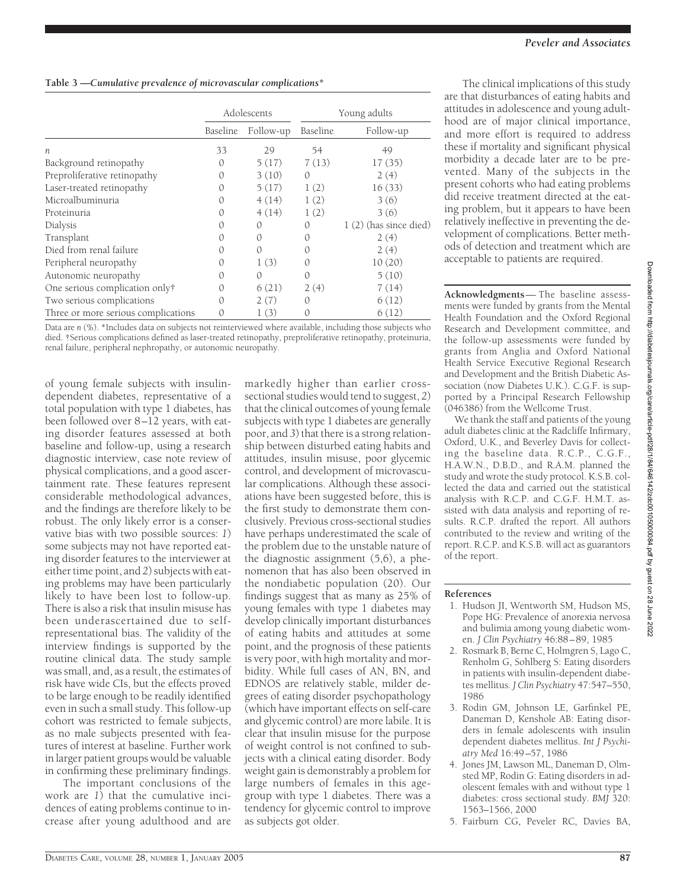|                                     | Adolescents |           | Young adults     |                         |
|-------------------------------------|-------------|-----------|------------------|-------------------------|
|                                     | Baseline    | Follow-up | Baseline         | Follow-up               |
| $\boldsymbol{n}$                    | 33          | 29        | 54               | 49                      |
| Background retinopathy              | $^{()}$     | 5(17)     | 7(13)            | 17(35)                  |
| Preproliferative retinopathy        | $^{()}$     | 3(10)     | $\Omega$         | 2(4)                    |
| Laser-treated retinopathy           | $^{()}$     | 5(17)     | 1(2)             | 16(33)                  |
| Microalbuminuria                    | 0           | 4(14)     | 1(2)             | 3(6)                    |
| Proteinuria                         |             | 4(14)     | 1(2)             | 3(6)                    |
| Dialysis                            |             | 0         | $\left( \right)$ | $1(2)$ (has since died) |
| Transplant                          |             | $^{()}$   | $\left( \right)$ | 2(4)                    |
| Died from renal failure             | 0           | 0         | $\left( \right)$ | 2(4)                    |
| Peripheral neuropathy               |             | 1(3)      | $\Omega$         | 10(20)                  |
| Autonomic neuropathy                | 0           | $\Omega$  | 0                | 5(10)                   |
| One serious complication only†      | 0           | 6(21)     | 2(4)             | 7(14)                   |
| Two serious complications           |             | 2(7)      | 0                | 6(12)                   |
| Three or more serious complications |             | 1(3)      |                  | 6(12)                   |

Data are *n* (%). \*Includes data on subjects not reinterviewed where available, including those subjects who died. †Serious complications defined as laser-treated retinopathy, preproliferative retinopathy, proteinuria, renal failure, peripheral nephropathy, or autonomic neuropathy.

of young female subjects with insulindependent diabetes, representative of a total population with type 1 diabetes, has been followed over 8–12 years, with eating disorder features assessed at both baseline and follow-up, using a research diagnostic interview, case note review of physical complications, and a good ascertainment rate. These features represent considerable methodological advances, and the findings are therefore likely to be robust. The only likely error is a conservative bias with two possible sources: *1*) some subjects may not have reported eating disorder features to the interviewer at either time point, and *2*) subjects with eating problems may have been particularly likely to have been lost to follow-up. There is also a risk that insulin misuse has been underascertained due to selfrepresentational bias. The validity of the interview findings is supported by the routine clinical data. The study sample was small, and, as a result, the estimates of risk have wide CIs, but the effects proved to be large enough to be readily identified even in such a small study. This follow-up cohort was restricted to female subjects, as no male subjects presented with features of interest at baseline. Further work in larger patient groups would be valuable in confirming these preliminary findings.

The important conclusions of the work are *1*) that the cumulative incidences of eating problems continue to increase after young adulthood and are

markedly higher than earlier crosssectional studies would tend to suggest, *2*) that the clinical outcomes of young female subjects with type 1 diabetes are generally poor, and *3*) that there is a strong relationship between disturbed eating habits and attitudes, insulin misuse, poor glycemic control, and development of microvascular complications. Although these associations have been suggested before, this is the first study to demonstrate them conclusively. Previous cross-sectional studies have perhaps underestimated the scale of the problem due to the unstable nature of the diagnostic assignment (5,6), a phenomenon that has also been observed in the nondiabetic population (20). Our findings suggest that as many as 25% of young females with type 1 diabetes may develop clinically important disturbances of eating habits and attitudes at some point, and the prognosis of these patients is very poor, with high mortality and morbidity. While full cases of AN, BN, and EDNOS are relatively stable, milder degrees of eating disorder psychopathology (which have important effects on self-care and glycemic control) are more labile. It is clear that insulin misuse for the purpose of weight control is not confined to subjects with a clinical eating disorder. Body weight gain is demonstrably a problem for large numbers of females in this agegroup with type 1 diabetes. There was a tendency for glycemic control to improve as subjects got older.

The clinical implications of this study are that disturbances of eating habits and attitudes in adolescence and young adulthood are of major clinical importance, and more effort is required to address these if mortality and significant physical morbidity a decade later are to be prevented. Many of the subjects in the present cohorts who had eating problems did receive treatment directed at the eating problem, but it appears to have been relatively ineffective in preventing the development of complications. Better methods of detection and treatment which are acceptable to patients are required.

**Acknowledgments**— The baseline assessments were funded by grants from the Mental Health Foundation and the Oxford Regional Research and Development committee, and the follow-up assessments were funded by grants from Anglia and Oxford National Health Service Executive Regional Research and Development and the British Diabetic Association (now Diabetes U.K.). C.G.F. is supported by a Principal Research Fellowship (046386) from the Wellcome Trust.

We thank the staff and patients of the young adult diabetes clinic at the Radcliffe Infirmary, Oxford, U.K., and Beverley Davis for collecting the baseline data. R.C.P., C.G.F., H.A.W.N., D.B.D., and R.A.M. planned the study and wrote the study protocol. K.S.B. collected the data and carried out the statistical analysis with R.C.P. and C.G.F. H.M.T. assisted with data analysis and reporting of results. R.C.P. drafted the report. All authors contributed to the review and writing of the report. R.C.P. and K.S.B. will act as guarantors of the report.

#### **References**

- 1. Hudson JI, Wentworth SM, Hudson MS, Pope HG: Prevalence of anorexia nervosa and bulimia among young diabetic women. *J Clin Psychiatry* 46:88–89, 1985
- 2. Rosmark B, Berne C, Holmgren S, Lago C, Renholm G, Sohlberg S: Eating disorders in patients with insulin-dependent diabetes mellitus. *J Clin Psychiatry* 47:547–550, 1986
- 3. Rodin GM, Johnson LE, Garfinkel PE, Daneman D, Kenshole AB: Eating disorders in female adolescents with insulin dependent diabetes mellitus. *Int J Psychiatry Med* 16:49–57, 1986
- 4. Jones JM, Lawson ML, Daneman D, Olmsted MP, Rodin G: Eating disorders in adolescent females with and without type 1 diabetes: cross sectional study. *BMJ* 320: 1563–1566, 2000
- 5. Fairburn CG, Peveler RC, Davies BA,